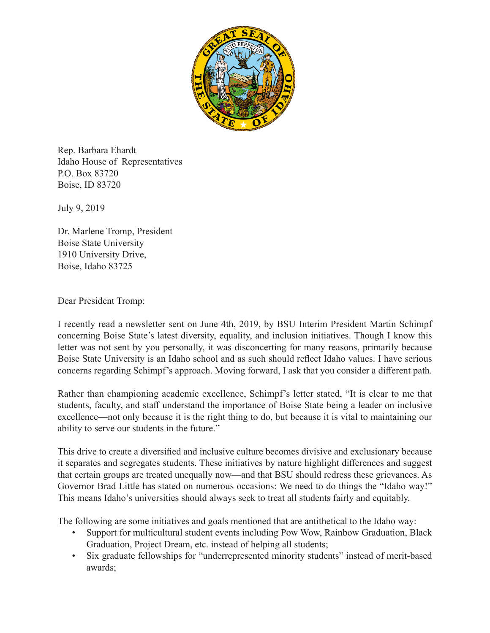

Rep. Barbara Ehardt Idaho House of Representatives P.O. Box 83720 Boise, ID 83720

July 9, 2019

Dr. Marlene Tromp, President Boise State University 1910 University Drive, Boise, Idaho 83725

Dear President Tromp:

I recently read a newsletter sent on June 4th, 2019, by BSU Interim President Martin Schimpf concerning Boise State's latest diversity, equality, and inclusion initiatives. Though I know this letter was not sent by you personally, it was disconcerting for many reasons, primarily because Boise State University is an Idaho school and as such should reflect Idaho values. I have serious concerns regarding Schimpf's approach. Moving forward, I ask that you consider a different path.

Rather than championing academic excellence, Schimpf's letter stated, "It is clear to me that students, faculty, and staff understand the importance of Boise State being a leader on inclusive excellence—not only because it is the right thing to do, but because it is vital to maintaining our ability to serve our students in the future."

This drive to create a diversified and inclusive culture becomes divisive and exclusionary because it separates and segregates students. These initiatives by nature highlight differences and suggest that certain groups are treated unequally now—and that BSU should redress these grievances. As Governor Brad Little has stated on numerous occasions: We need to do things the "Idaho way!" This means Idaho's universities should always seek to treat all students fairly and equitably.

The following are some initiatives and goals mentioned that are antithetical to the Idaho way:

- Support for multicultural student events including Pow Wow, Rainbow Graduation, Black Graduation, Project Dream, etc. instead of helping all students;
- Six graduate fellowships for "underrepresented minority students" instead of merit-based awards;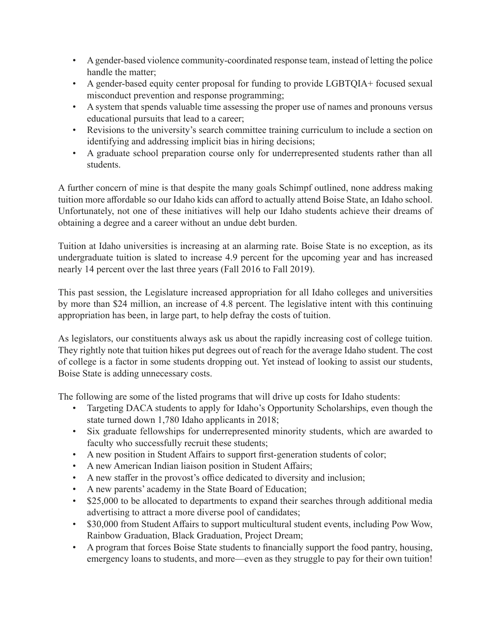- A gender-based violence community-coordinated response team, instead of letting the police handle the matter;
- A gender-based equity center proposal for funding to provide LGBTQIA+ focused sexual misconduct prevention and response programming;
- A system that spends valuable time assessing the proper use of names and pronouns versus educational pursuits that lead to a career;
- Revisions to the university's search committee training curriculum to include a section on identifying and addressing implicit bias in hiring decisions;
- A graduate school preparation course only for underrepresented students rather than all students.

A further concern of mine is that despite the many goals Schimpf outlined, none address making tuition more affordable so our Idaho kids can afford to actually attend Boise State, an Idaho school. Unfortunately, not one of these initiatives will help our Idaho students achieve their dreams of obtaining a degree and a career without an undue debt burden.

Tuition at Idaho universities is increasing at an alarming rate. Boise State is no exception, as its undergraduate tuition is slated to increase 4.9 percent for the upcoming year and has increased nearly 14 percent over the last three years (Fall 2016 to Fall 2019).

This past session, the Legislature increased appropriation for all Idaho colleges and universities by more than \$24 million, an increase of 4.8 percent. The legislative intent with this continuing appropriation has been, in large part, to help defray the costs of tuition.

As legislators, our constituents always ask us about the rapidly increasing cost of college tuition. They rightly note that tuition hikes put degrees out of reach for the average Idaho student. The cost of college is a factor in some students dropping out. Yet instead of looking to assist our students, Boise State is adding unnecessary costs.

The following are some of the listed programs that will drive up costs for Idaho students:

- Targeting DACA students to apply for Idaho's Opportunity Scholarships, even though the state turned down 1,780 Idaho applicants in 2018;
- Six graduate fellowships for underrepresented minority students, which are awarded to faculty who successfully recruit these students;
- A new position in Student Affairs to support first-generation students of color;
- A new American Indian liaison position in Student Affairs;
- A new staffer in the provost's office dedicated to diversity and inclusion;
- A new parents' academy in the State Board of Education;
- \$25,000 to be allocated to departments to expand their searches through additional media advertising to attract a more diverse pool of candidates;
- \$30,000 from Student Affairs to support multicultural student events, including Pow Wow, Rainbow Graduation, Black Graduation, Project Dream;
- A program that forces Boise State students to financially support the food pantry, housing, emergency loans to students, and more—even as they struggle to pay for their own tuition!